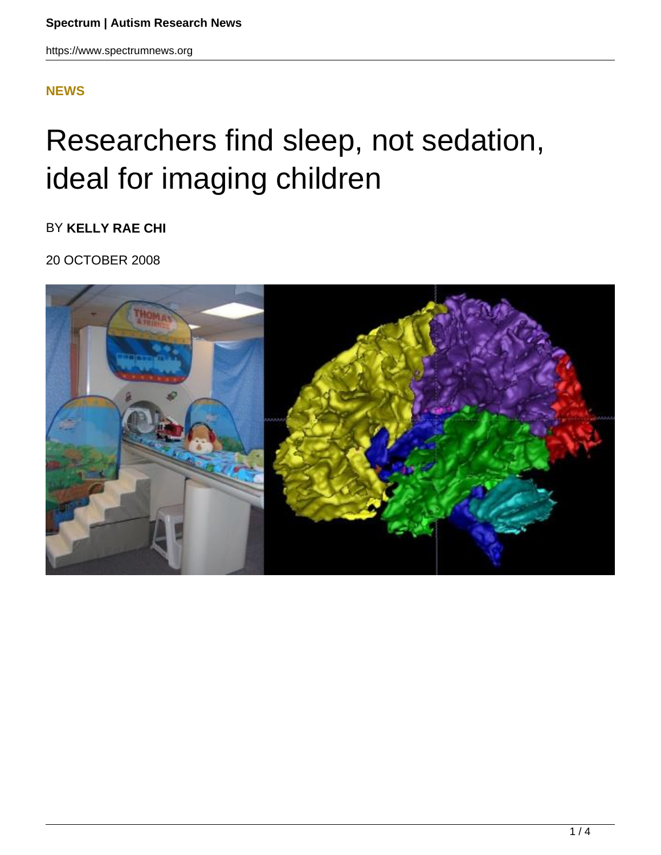## **[NEWS](HTTPS://WWW.SPECTRUMNEWS.ORG/NEWS/)**

## Researchers find sleep, not sedation, ideal for imaging children

BY **KELLY RAE CHI**

20 OCTOBER 2008

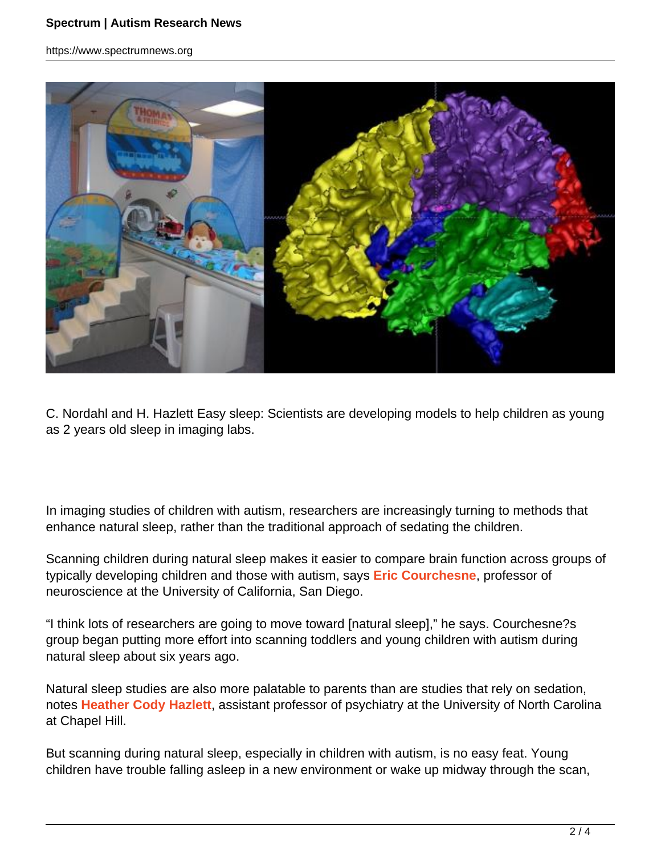https://www.spectrumnews.org



C. Nordahl and H. Hazlett Easy sleep: Scientists are developing models to help children as young as 2 years old sleep in imaging labs.

In imaging studies of children with autism, researchers are increasingly turning to methods that enhance natural sleep, rather than the traditional approach of sedating the children.

Scanning children during natural sleep makes it easier to compare brain function across groups of typically developing children and those with autism, says **Eric Courchesne**, professor of neuroscience at the University of California, San Diego.

"I think lots of researchers are going to move toward [natural sleep]," he says. Courchesne?s group began putting more effort into scanning toddlers and young children with autism during natural sleep about six years ago.

Natural sleep studies are also more palatable to parents than are studies that rely on sedation, notes **Heather Cody Hazlett**, assistant professor of psychiatry at the University of North Carolina at Chapel Hill.

But scanning during natural sleep, especially in children with autism, is no easy feat. Young children have trouble falling asleep in a new environment or wake up midway through the scan,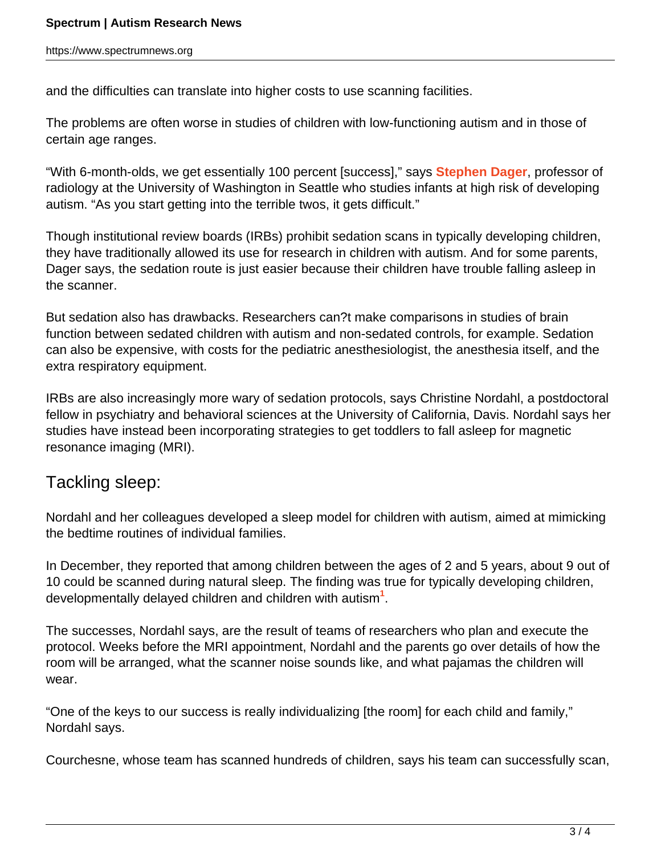and the difficulties can translate into higher costs to use scanning facilities.

The problems are often worse in studies of children with low-functioning autism and in those of certain age ranges.

"With 6-month-olds, we get essentially 100 percent [success]," says **Stephen Dager**, professor of radiology at the University of Washington in Seattle who studies infants at high risk of developing autism. "As you start getting into the terrible twos, it gets difficult."

Though institutional review boards (IRBs) prohibit sedation scans in typically developing children, they have traditionally allowed its use for research in children with autism. And for some parents, Dager says, the sedation route is just easier because their children have trouble falling asleep in the scanner.

But sedation also has drawbacks. Researchers can?t make comparisons in studies of brain function between sedated children with autism and non-sedated controls, for example. Sedation can also be expensive, with costs for the pediatric anesthesiologist, the anesthesia itself, and the extra respiratory equipment.

IRBs are also increasingly more wary of sedation protocols, says Christine Nordahl, a postdoctoral fellow in psychiatry and behavioral sciences at the University of California, Davis. Nordahl says her studies have instead been incorporating strategies to get toddlers to fall asleep for magnetic resonance imaging (MRI).

## Tackling sleep:

Nordahl and her colleagues developed a sleep model for children with autism, aimed at mimicking the bedtime routines of individual families.

In December, they reported that among children between the ages of 2 and 5 years, about 9 out of 10 could be scanned during natural sleep. The finding was true for typically developing children, developmentally delayed children and children with autism**<sup>1</sup>** .

The successes, Nordahl says, are the result of teams of researchers who plan and execute the protocol. Weeks before the MRI appointment, Nordahl and the parents go over details of how the room will be arranged, what the scanner noise sounds like, and what pajamas the children will wear.

"One of the keys to our success is really individualizing [the room] for each child and family," Nordahl says.

Courchesne, whose team has scanned hundreds of children, says his team can successfully scan,